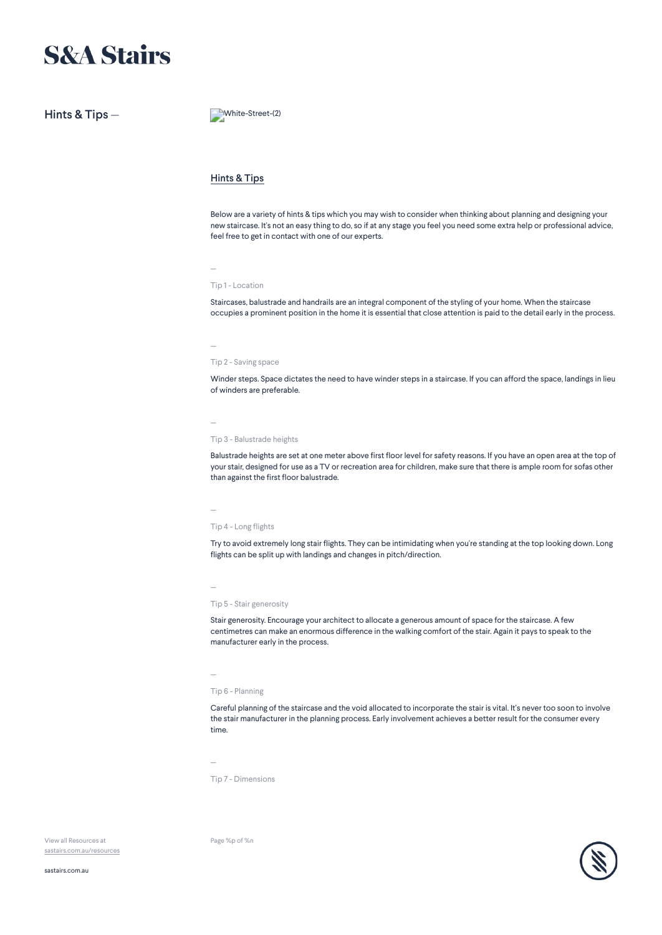# **S&A Stairs**

Hints & Tips — White-Street-(2)

## Hints & Tips

Below are a variety of hints & tips which you may wish to consider when thinking about planning and designing your new staircase. It's not an easy thing to do, so if at any stage you feel you need some extra help or professional advice, feel free to get in contact with one of our experts.

Tip 1 - Location

—

Staircases, balustrade and handrails are an integral component of the styling of your home. When the staircase occupies a prominent position in the home it is essential that close attention is paid to the detail early in the process.

— Tip 2 - Saving space

Winder steps. Space dictates the need to have winder steps in a staircase. If you can afford the space, landings in lieu of winders are preferable.

—

Tip 3 - Balustrade heights

Balustrade heights are set at one meter above first floor level for safety reasons. If you have an open area at the top of your stair, designed for use as a TV or recreation area for children, make sure that there is ample room for sofas other than against the first floor balustrade.

Tip 4 - Long flights

—

—

Try to avoid extremely long stair flights. They can be intimidating when you're standing at the top looking down. Long flights can be split up with landings and changes in pitch/direction.

Tip 5 - Stair generosity

Stair generosity. Encourage your architect to allocate a generous amount of space for the staircase. A few centimetres can make an enormous difference in the walking comfort of the stair. Again it pays to speak to the manufacturer early in the process.

—

Tip 6 - Planning

Careful planning of the staircase and the void allocated to incorporate the stair is vital. It's never too soon to involve the stair manufacturer in the planning process. Early involvement achieves a better result for the consumer every time.

—

Tip 7 - Dimensions

Page %p of %n

View all Resources at [sastairs.com.au/resources](https://sastairs.com.au/)

[sastairs.com.au](https://sastairs.com.au/)

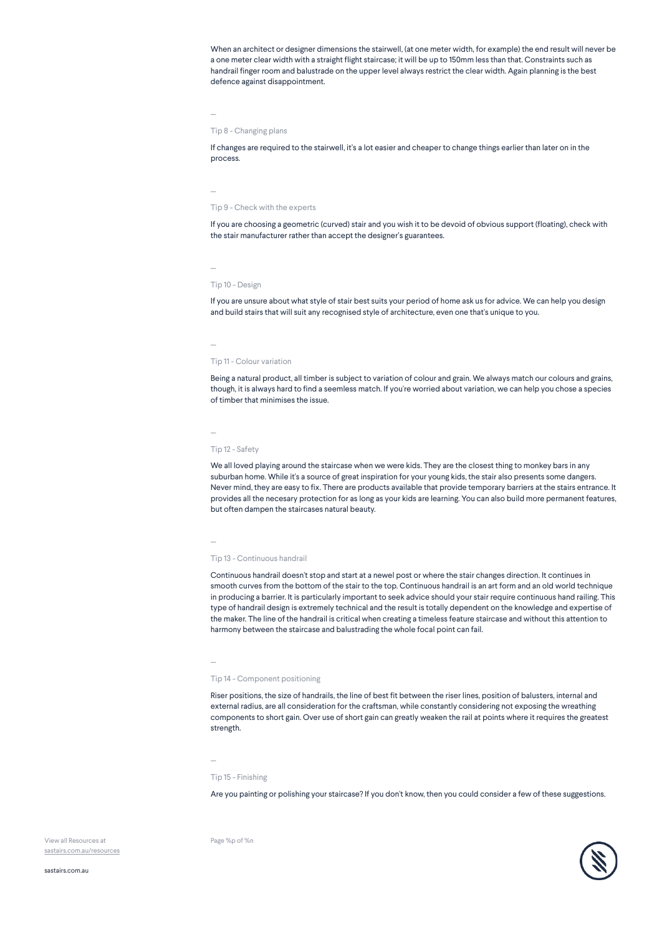When an architect or designer dimensions the stairwell, (at one meter width, for example) the end result will never be a one meter clear width with a straight flight staircase; it will be up to 150mm less than that. Constraints such as handrail finger room and balustrade on the upper level always restrict the clear width. Again planning is the best defence against disappointment.

Tip 8 - Changing plans

If changes are required to the stairwell, it's a lot easier and cheaper to change things earlier than later on in the process.

— Tip 9 - Check with the experts

If you are choosing a geometric (curved) stair and you wish it to be devoid of obvious support (floating), check with the stair manufacturer rather than accept the designer's guarantees.

—

—

### Tip 10 - Design

If you are unsure about what style of stair best suits your period of home ask us for advice. We can help you design and build stairs that will suit any recognised style of architecture, even one that's unique to you.

—

#### Tip 11 - Colour variation

Being a natural product, all timber is subject to variation of colour and grain. We always match our colours and grains, though, it is always hard to find a seemless match. If you're worried about variation, we can help you chose a species of timber that minimises the issue.

Tip 12 - Safety

—

We all loved playing around the staircase when we were kids. They are the closest thing to monkey bars in any suburban home. While it's a source of great inspiration for your young kids, the stair also presents some dangers. Never mind, they are easy to fix. There are products available that provide temporary barriers at the stairs entrance. It provides all the necesary protection for as long as your kids are learning. You can also build more permanent features,

#### —

#### Tip 13 - Continuous handrail

but often dampen the staircases natural beauty.

Continuous handrail doesn't stop and start at a newel post or where the stair changes direction. It continues in smooth curves from the bottom of the stair to the top. Continuous handrail is an art form and an old world technique in producing a barrier. It is particularly important to seek advice should your stair require continuous hand railing. This type of handrail design is extremely technical and the result is totally dependent on the knowledge and expertise of the maker. The line of the handrail is critical when creating a timeless feature staircase and without this attention to harmony between the staircase and balustrading the whole focal point can fail.

#### —

#### Tip 14 - Component positioning

Riser positions, the size of handrails, the line of best fit between the riser lines, position of balusters, internal and external radius, are all consideration for the craftsman, while constantly considering not exposing the wreathing components to short gain. Over use of short gain can greatly weaken the rail at points where it requires the greatest strength.

—

#### Tip 15 - Finishing

Page %p of %n

Are you painting or polishing your staircase? If you don't know, then you could consider a few of these suggestions.

View all Resources at [sastairs.com.au/resources](https://sastairs.com.au/)